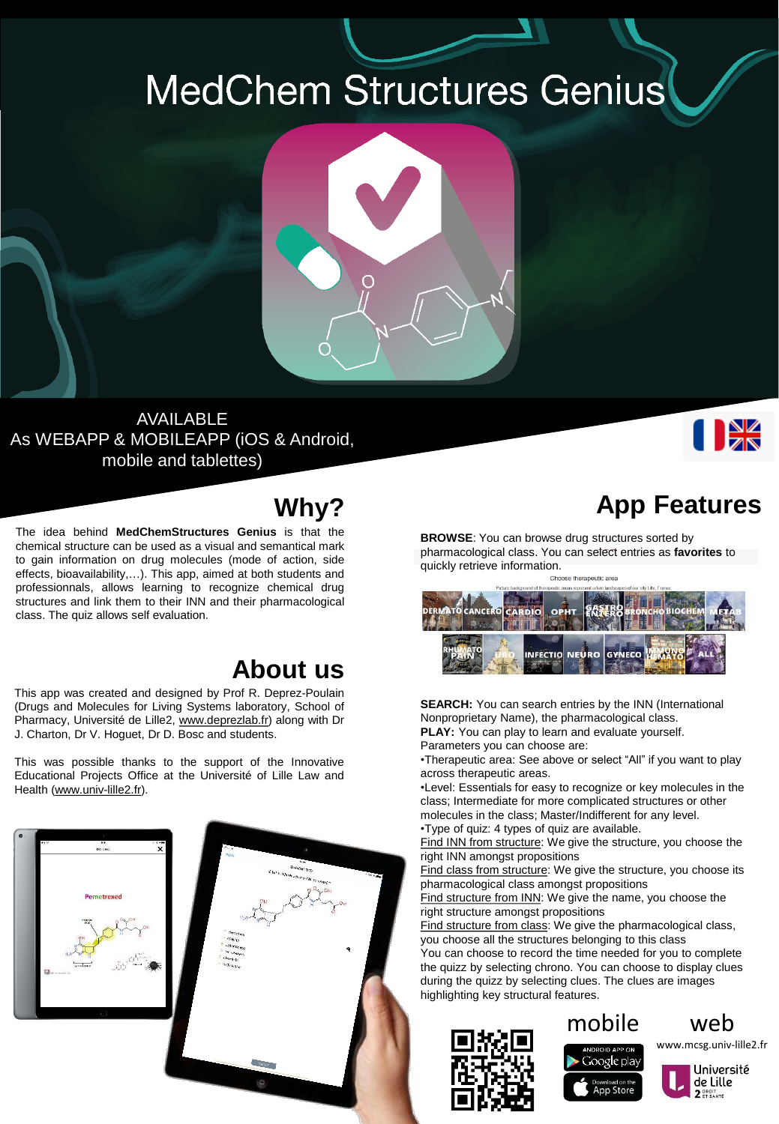## **MedChem Structures Genius**



## AVAILABLE As WEBAPP & MOBILEAPP (iOS & Android, mobile and tablettes)



The idea behind **MedChemStructures Genius** is that the chemical structure can be used as a visual and semantical mark to gain information on drug molecules (mode of action, side effects, bioavailability,…). This app, aimed at both students and professionnals, allows learning to recognize chemical drug structures and link them to their INN and their pharmacological class. The quiz allows self evaluation.

## **About us**

This app was created and designed by Prof R. Deprez-Poulain (Drugs and Molecules for Living Systems laboratory, School of Pharmacy, Université de Lille2, [www.deprezlab.fr](http://pharmaquiz.qualia.fr/www.deprezlab.fr)) along with Dr J. Charton, Dr V. Hoguet, Dr D. Bosc and students.

This was possible thanks to the support of the Innovative Educational Projects Office at the Université of Lille Law and Health [\(www.univ-lille2.fr\)](http://pharmaquiz.qualia.fr/www.univ-lille2.fr).





I BK

**BROWSE**: You can browse drug structures sorted by pharmacological class. You can select entries as **favorites** to quickly retrieve information.



**SEARCH:** You can search entries by the INN (International Nonproprietary Name), the pharmacological class. **PLAY:** You can play to learn and evaluate yourself.

Parameters you can choose are:

•Therapeutic area: See above or select "All" if you want to play across therapeutic areas.

•Level: Essentials for easy to recognize or key molecules in the class; Intermediate for more complicated structures or other molecules in the class; Master/Indifferent for any level.

•Type of quiz: 4 types of quiz are available.

Find INN from structure: We give the structure, you choose the right INN amongst propositions

Find class from structure: We give the structure, you choose its pharmacological class amongst propositions

Find structure from INN: We give the name, you choose the right structure amongst propositions

Find structure from class: We give the pharmacological class, you choose all the structures belonging to this class

You can choose to record the time needed for you to complete the quizz by selecting chrono. You can choose to display clues during the quizz by selecting clues. The clues are images highlighting key structural features.





www.mcsg.univ-lille2.fr